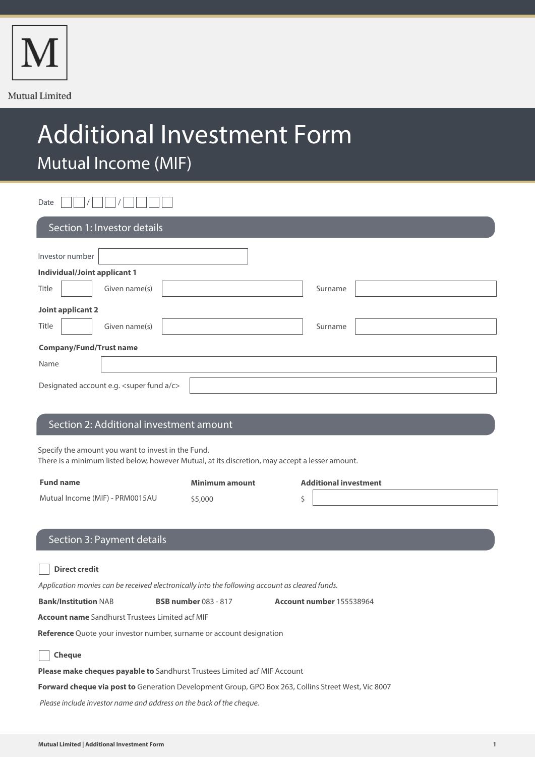

# Additional Investment Form Mutual Income (MIF)

Date  $\Box \Box / \Box \Box / \Box \Box \Box$ 

| Section 1: Investor details               |                          |  |  |  |
|-------------------------------------------|--------------------------|--|--|--|
| Investor number                           |                          |  |  |  |
| <b>Individual/Joint applicant 1</b>       |                          |  |  |  |
| Title                                     | Given name(s)<br>Surname |  |  |  |
| Joint applicant 2                         |                          |  |  |  |
| Title                                     | Given name(s)<br>Surname |  |  |  |
| <b>Company/Fund/Trust name</b>            |                          |  |  |  |
| Name                                      |                          |  |  |  |
| Designated account e.g. < super fund a/c> |                          |  |  |  |

### Section 2: Additional investment amount

Specify the amount you want to invest in the Fund.

There is a minimum listed below, however Mutual, at its discretion, may accept a lesser amount.

| <b>Fund name</b>                | Minimum amount | <b>Additional investment</b> |  |
|---------------------------------|----------------|------------------------------|--|
| Mutual Income (MIF) - PRM0015AU | \$5,000        |                              |  |
|                                 |                |                              |  |

## Section 3: Payment details

| Direct credit |  |
|---------------|--|
|---------------|--|

Application monies can be received electronically into the following account as cleared funds.

**Bank/Institution** NAB **BSB number** 083 - 817 **Account number** 155538964

**Account name** Sandhurst Trustees Limited acf MIF

**Reference** Quote your investor number, surname or account designation

| × | ٧ |
|---|---|
|---|---|

**Please make cheques payable to** Sandhurst Trustees Limited acf MIF Account

**Forward cheque via post to** Generation Development Group, GPO Box 263, Collins Street West, Vic 8007

Please include investor name and address on the back of the cheque.